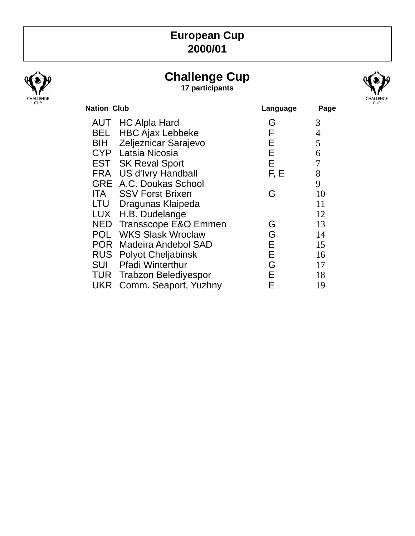## **European Cup 2000/01**



# **Challenge Cup**

**17 participants**



| <b>Nation Club</b>                    | Language | Page |
|---------------------------------------|----------|------|
| <b>AUT</b> HC Alpla Hard              | G        | 3    |
| <b>HBC Ajax Lebbeke</b><br>BEL        | F        | 4    |
| Zeljeznicar Sarajevo<br>BIH           | Е        | 5    |
| Latsia Nicosia                        | E        | 6    |
| <b>EST</b> SK Reval Sport             | Е        | 7    |
| FRA US d'Ivry Handball                | F, E     | 8    |
| <b>GRE</b> A.C. Doukas School         |          | 9    |
| <b>ITA</b><br><b>SSV Forst Brixen</b> | G        | 10   |
| Dragunas Klaipeda                     |          | 11   |
| LUX H.B. Dudelange                    |          | 12   |
| NED Transscope E&O Emmen              | G        | 13   |
| <b>WKS Slask Wroclaw</b><br>POL       | G        | 14   |
| <b>POR</b><br>Madeira Andebol SAD     | Е        | 15   |
| <b>RUS</b> Polyot Cheljabinsk         | E.       | 16   |
| <b>Pfadi Winterthur</b>               | G        | 17   |
| <b>TUR</b> Trabzon Belediyespor       | Е        | 18   |
| <b>UKR</b> Comm. Seaport, Yuzhny      | Е        | 19   |
|                                       |          |      |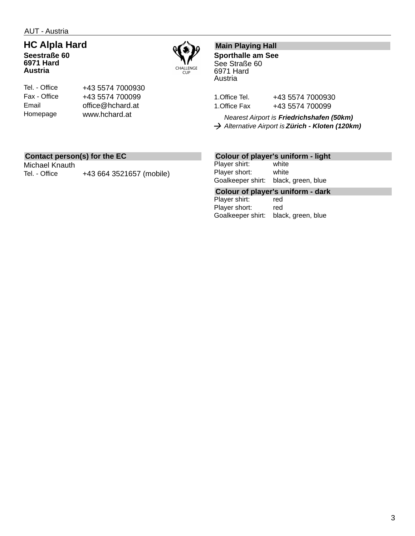AUT - Austria

## **HC Alpla Hard**

**Seestraße 60 6971 Hard Austria**

Tel. - Office Fax - Office Email Homepage



### **Main Playing Hall**

**Sporthalle am See** See Straße 60 6971 Hard Austria

1. Office Tel. +43 5574 7000930 1. Office Fax +43 5574 700099

*Nearest Airport is Friedrichshafen (50km) Alternative Airport is Zürich - Kloten (120km)*

#### **Contact person(s) for the EC**

Michael Knauth Tel. - Office +43 664 3521657 (mobile)

+43 5574 7000930 +43 5574 700099 office@hchard.at www.hchard.at

#### **Colour of player's uniform - light**

Player shirt: white Player short: white Goalkeeper shirt: black, green, blue

**Colour of player's uniform - dark** Player shirt: Player short: red Goalkeeper shirt: black, green, blue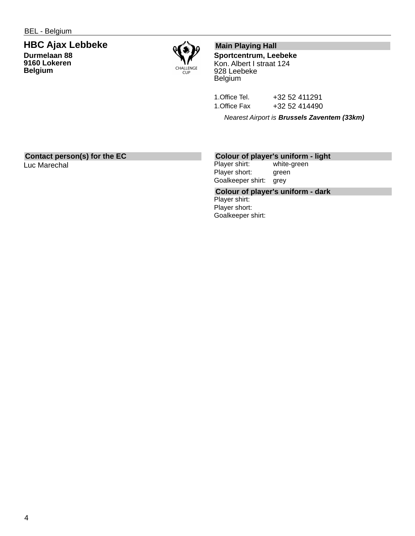#### **HBC Ajax Lebbeke Durmelaan 88 9160 Lokeren Belgium**



### **Main Playing Hall**

**Sportcentrum, Leebeke** Kon. Albert I straat 124 928 Leebeke Belgium

1.Office Tel. +32 52 411291 1.Office Fax +32 52 414490

*Nearest Airport is Brussels Zaventem (33km)*

#### **Contact person(s) for the EC**

Luc Marechal

#### **Colour of player's uniform - light**

Player shirt: white-green Player short: green Goalkeeper shirt: grey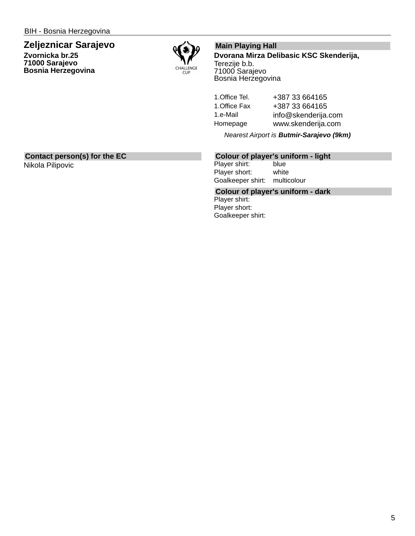## **Zeljeznicar Sarajevo**

**Zvornicka br.25 71000 Sarajevo Bosnia Herzegovina**



#### **Main Playing Hall**

**Dvorana Mirza Delibasic KSC Skenderija,** Terezije b.b. 71000 Sarajevo Bosnia Herzegovina

1.Office Tel. +387 33 664165 1. Office Fax +387 33 664165 1.e-Mail info@skenderija.com Homepage www.skenderija.com

*Nearest Airport is Butmir-Sarajevo (9km)*

### **Contact person(s) for the EC**

Nikola Pilipovic

## **Colour of player's uniform - light**

Player shirt: blue Player short: white Goalkeeper shirt: multicolour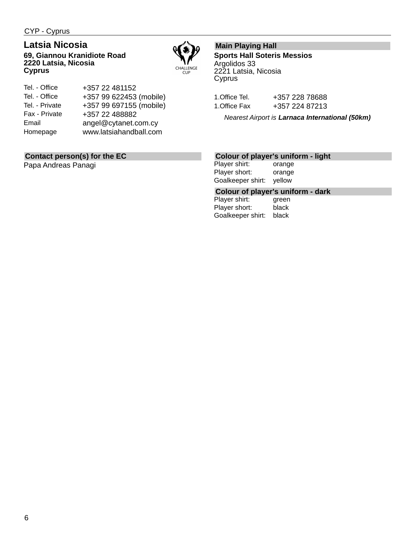CYP - Cyprus

## **Latsia Nicosia**

**69, Giannou Kranidiote Road 2220 Latsia, Nicosia Cyprus**



Tel. - Office Tel. - Office Tel. - Private Fax - Private Email Homepage +357 22 481152 +357 99 622453 (mobile) +357 99 697155 (mobile) +357 22 488882 angel@cytanet.com.cy www.latsiahandball.com

## **Contact person(s) for the EC**

Papa Andreas Panagi

## **Main Playing Hall**

**Sports Hall Soteris Messios** Argolidos 33 2221 Latsia, Nicosia Cyprus

1.Office Tel. +357 228 78688 1.Office Fax +357 224 87213

*Nearest Airport is Larnaca International (50km)*

#### **Colour of player's uniform - light**

Player shirt: orange Player short: orange Goalkeeper shirt: yellow

# **Colour of player's uniform - dark**

Player shirt: Player short: black Goalkeeper shirt: black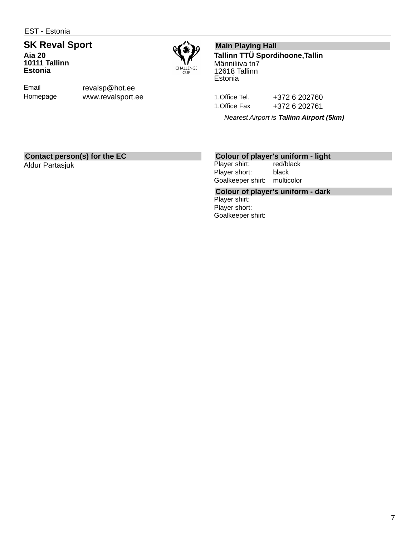EST - Estonia

#### **SK Reval Sport Aia 20 10111 Tallinn Estonia**



Email Homepage revalsp@hot.ee www.revalsport.ee

## **Main Playing Hall**

**Tallinn TTÜ Spordihoone,Tallin** Männiliiva tn7 12618 Tallinn **Estonia** 

1.Office Tel. +372 6 202760 1.Office Fax +372 6 202761

*Nearest Airport is Tallinn Airport (5km)*

#### **Contact person(s) for the EC**

Aldur Partasjuk

# **Colour of player's uniform - light**

Player shirt: Player short: black Goalkeeper shirt: multicolor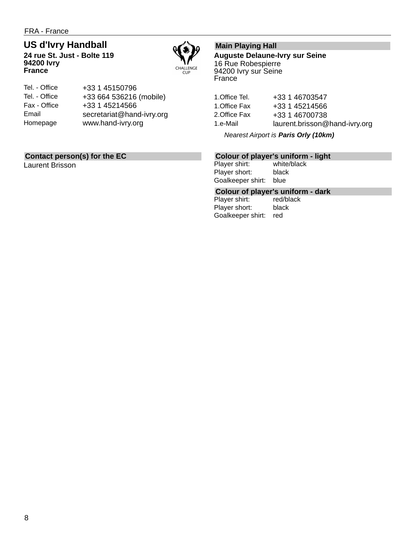## **US d'Ivry Handball**

**24 rue St. Just - Bolte 119 94200 Ivry France**



| +33 664 536216 (mobile)   |
|---------------------------|
|                           |
| secretariat@hand-ivry.org |
|                           |
|                           |

### **Contact person(s) for the EC**

Laurent Brisson

## **Main Playing Hall**

**Auguste Delaune-Ivry sur Seine** 16 Rue Robespierre 94200 Ivry sur Seine France

| 1.Office Tel. | +33 1 46703547                |
|---------------|-------------------------------|
| 1.Office Fax  | +33 1 45214566                |
| 2.Office Fax  | +33 1 46700738                |
| 1.e-Mail      | laurent.brisson@hand-ivry.org |

*Nearest Airport is Paris Orly (10km)*

# **Colour of player's uniform - light**

Player shirt: Player short: black Goalkeeper shirt: blue

# **Colour of player's uniform - dark**

Player shirt: Player short: black Goalkeeper shirt: red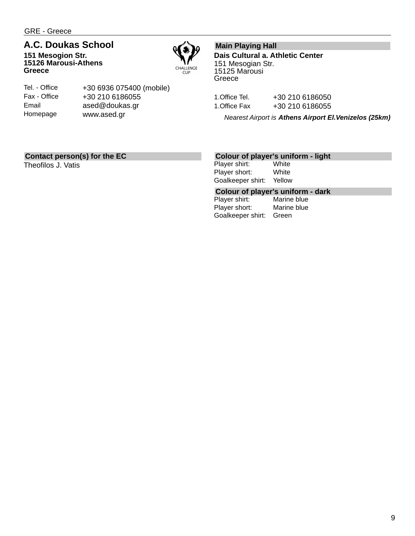GRE - Greece

## **A.C. Doukas School**

**151 Mesogion Str. 15126 Marousi-Athens Greece**



Tel. - Office Fax - Office Email Homepage

+30 6936 075400 (mobile) +30 210 6186055 ased@doukas.gr www.ased.gr

#### **Main Playing Hall**

**Dais Cultural a. Athletic Center** 151 Mesogian Str. 15125 Marousi **Greece** 

1.Office Tel. +30 210 6186050 1.Office Fax +30 210 6186055

*Nearest Airport is Athens Airport El.Venizelos (25km)*

## **Contact person(s) for the EC**

Theofilos J. Vatis

## **Colour of player's uniform - light**

Player shirt: Player short: White Goalkeeper shirt: Yellow

## **Colour of player's uniform - dark**

Player shirt: Player short: Marine blue Goalkeeper shirt: Green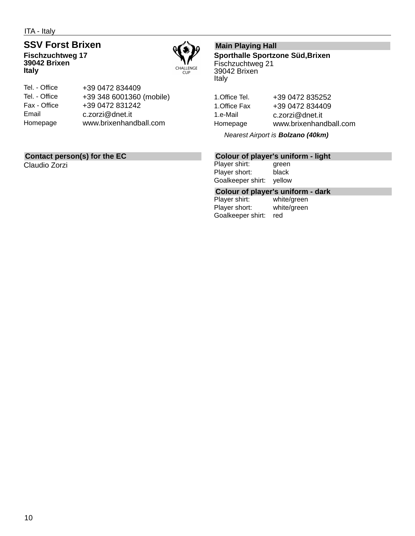ITA - Italy

## **SSV Forst Brixen**

**Fischzuchtweg 17 39042 Brixen Italy**



| +39 0472 834409          |
|--------------------------|
| +39 348 6001360 (mobile) |
| +39 0472 831242          |
| c.zorzi@dnet.it          |
| www.brixenhandball.com   |
|                          |

## **Contact person(s) for the EC**

Claudio Zorzi

## **Main Playing Hall**

**Sporthalle Sportzone Süd,Brixen** Fischzuchtweg 21 39042 Brixen Italy

1.Office Tel. +39 0472 835252 1.Office Fax +39 0472 834409 1.e-Mail c.zorzi@dnet.it Homepage www.brixenhandball.com

*Nearest Airport is Bolzano (40km)*

## **Colour of player's uniform - light**

Player shirt: green Player short: black Goalkeeper shirt: yellow

# **Colour of player's uniform - dark**

Player shirt: Player short: white/green Goalkeeper shirt: red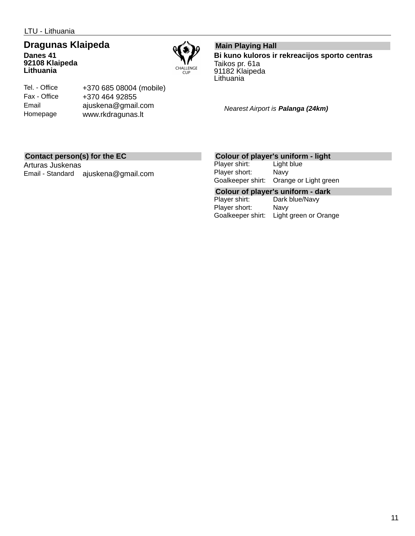LTU - Lithuania

#### **Dragunas Klaipeda Danes 41 92108 Klaipeda Lithuania**



## Tel. - Office Fax - Office Email Homepage

+370 685 08004 (mobile) +370 464 92855 ajuskena@gmail.com www.rkdragunas.lt

#### **Main Playing Hall**

**Bi kuno kuloros ir rekreacijos sporto centras** Taikos pr. 61a 91182 Klaipeda Lithuania

*Nearest Airport is Palanga (24km)*

## **Contact person(s) for the EC**

Arturas Juskenas Email - Standard ajuskena@gmail.com

#### **Colour of player's uniform - light**

Player shirt: Light blue Player short: Navy Goalkeeper shirt: Orange or Light green

**Colour of player's uniform - dark** Dark blue/Navy Player short: Navy Goalkeeper shirt: Light green or Orange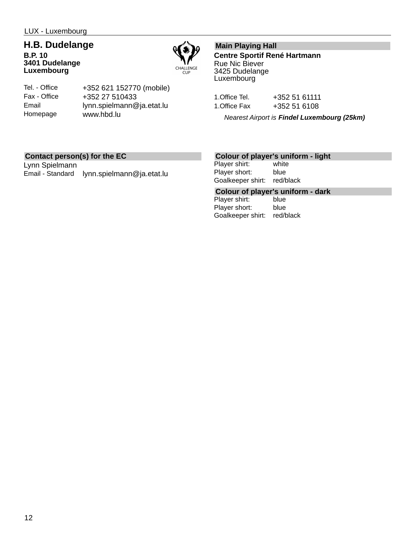#### **H.B. Dudelange B.P. 10 3401 Dudelange Luxembourg**



Tel. - Office Fax - Office Email Homepage

+352 621 152770 (mobile) +352 27 510433 lynn.spielmann@ja.etat.lu www.hbd.lu

## **Main Playing Hall**

**Centre Sportif René Hartmann** Rue Nic Biever 3425 Dudelange Luxembourg

| 1.Office Tel. | +352 51 61111 |  |
|---------------|---------------|--|
| 1.Office Fax  | +352 51 6108  |  |

*Nearest Airport is Findel Luxembourg (25km)*

#### **Contact person(s) for the EC**

Lynn Spielmann Email - Standard lynn.spielmann@ja.etat.lu

#### **Colour of player's uniform - light**

Player shirt: white Player short: blue Goalkeeper shirt: red/black

**Colour of player's uniform - dark**

Player shirt: Player short: blue Goalkeeper shirt: red/black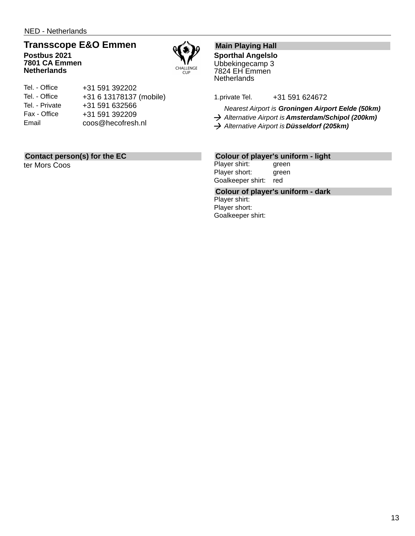NED - Netherlands

## **Transscope E&O Emmen**

**Postbus 2021 7801 CA Emmen Netherlands**



| Tel. - Office  | +31 591 392202          |
|----------------|-------------------------|
| Tel. - Office  | +31 6 13178137 (mobile) |
| Tel. - Private | +31 591 632566          |
| Fax - Office   | +31 591 392209          |
| Email          | coos@hecofresh.nl       |

## **Contact person(s) for the EC**

ter Mors Coos

## **Main Playing Hall**

**Sporthal Angelslo** Ubbekingecamp 3 7824 EH Emmen **Netherlands** 

1.private Tel. +31 591 624672

*Nearest Airport is Groningen Airport Eelde (50km)*

*Alternative Airport is Amsterdam/Schipol (200km)*

*Alternative Airport is Düsseldorf (205km)*

#### **Colour of player's uniform - light**

Player shirt: green Player short: green Goalkeeper shirt: red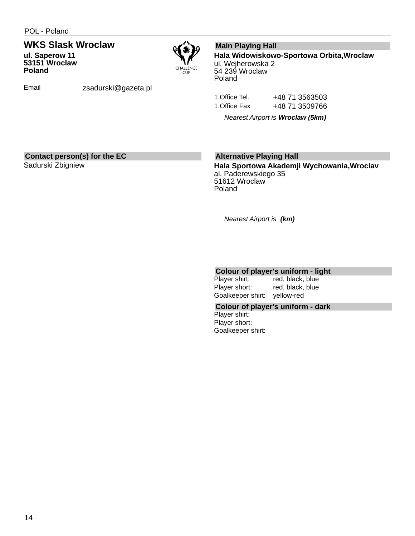**53151 Wroclaw**

## **WKS Slask Wroclaw ul. Saperow 11**



**Poland**

Email zsadurski@gazeta.pl

#### **Main Playing Hall**

**Hala Widowiskowo-Sportowa Orbita,Wroclaw**

ul. Wejherowska 2 54 239 Wroclaw Poland

1. Office Tel. +48 71 3563503 1. Office Fax +48 71 3509766

*Nearest Airport is Wroclaw (5km)*

#### **Contact person(s) for the EC**

Sadurski Zbigniew

## **Alternative Playing Hall**

**Hala Sportowa Akademji Wychowania,Wroclav** al. Paderewskiego 35 51612 Wroclaw Poland

*Nearest Airport is (km)*

## **Colour of player's uniform - light**

red, black, blue Player short: red, black, blue Goalkeeper shirt: yellow-red

#### **Colour of player's uniform - dark**

Player shirt: Player short: Goalkeeper shirt: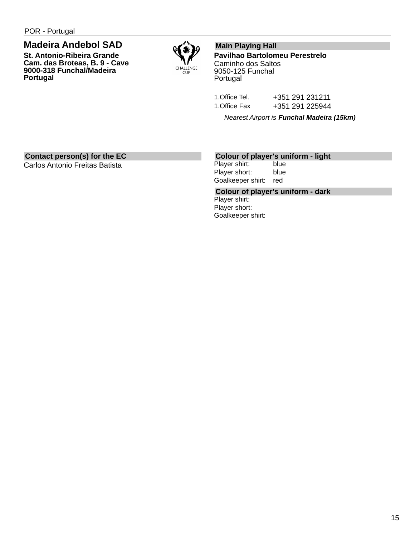## **Madeira Andebol SAD**

**St. Antonio-Ribeira Grande Cam. das Broteas, B. 9 - Cave 9000-318 Funchal/Madeira Portugal**



### **Main Playing Hall**

**Pavilhao Bartolomeu Perestrelo** Caminho dos Saltos 9050-125 Funchal Portugal

| 1.Office Tel. | +351 291 231211 |
|---------------|-----------------|
| 1.Office Fax  | +351 291 225944 |

*Nearest Airport is Funchal Madeira (15km)*

## **Contact person(s) for the EC**

Carlos Antonio Freitas Batista

#### **Colour of player's uniform - light**

Player shirt: blue Player short: blue Goalkeeper shirt: red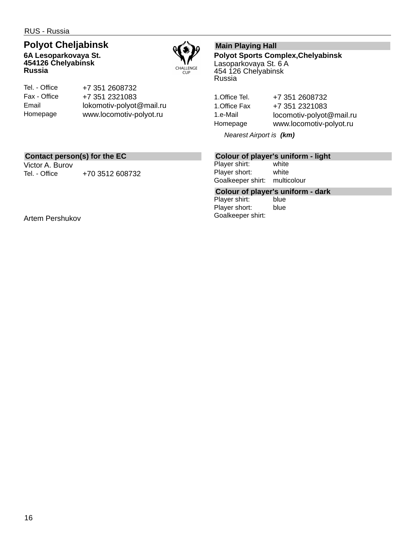## **Polyot Cheljabinsk**

**6A Lesoparkovaya St. 454126 Chelyabinsk Russia**



Tel. - Office Fax - Office Email Homepage

+7 351 2608732 +7 351 2321083 lokomotiv-polyot@mail.ru www.locomotiv-polyot.ru

## **Main Playing Hall**

**Polyot Sports Complex,Chelyabinsk** Lasoparkovaya St. 6 A 454 126 Chelyabinsk Russia

1.Office Tel. +7 351 2608732 1.Office Fax +7 351 2321083 1.e-Mail locomotiv-polyot@mail.ru Homepage www.locomotiv-polyot.ru

*Nearest Airport is (km)*

#### **Contact person(s) for the EC**

Victor A. Burov Tel. - Office  $+703512608732$ 

Artem Pershukov

#### **Colour of player's uniform - light**

Player shirt: white Player short: white Goalkeeper shirt: multicolour

**Colour of player's uniform - dark**

Player shirt: Player short: blue Goalkeeper shirt: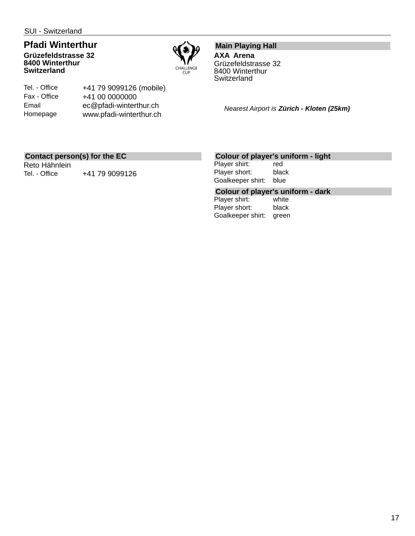**Switzerland**

#### **Pfadi Winterthur Grüzefeldstrasse 32 8400 Winterthur**



Tel. - Office Fax - Office Email Homepage

+41 79 9099126 (mobile) +41 00 0000000 ec@pfadi-winterthur.ch www.pfadi-winterthur.ch

**Main Playing Hall AXA Arena** Grüzefeldstrasse 32 8400 Winterthur **Switzerland** 

*Nearest Airport is Zürich - Kloten (25km)*

#### **Contact person(s) for the EC**

Reto Hähnlein Tel. - Office  $+41$  79 9099126

#### **Colour of player's uniform - light**

Player shirt: red Player short: black Goalkeeper shirt: blue

## **Colour of player's uniform - dark**

Player shirt: Player short: black Goalkeeper shirt: green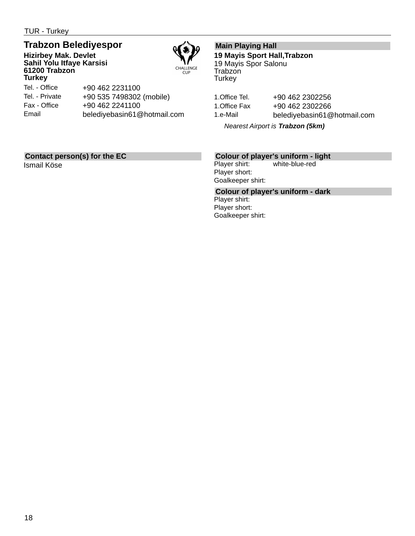TUR - Turkey

## **Trabzon Belediyespor**

**Hizirbey Mak. Devlet Sahil Yolu Itfaye Karsisi 61200 Trabzon Turkey**



Tel. - Office Tel. - Private Fax - Office Email +90 462 2231100 +90 535 7498302 (mobile) +90 462 2241100 belediyebasin61@hotmail.com

## **Main Playing Hall**

**19 Mayis Sport Hall,Trabzon** 19 Mayis Spor Salonu Trabzon **Turkey** 

1.Office Tel. +90 462 2302256 1.Office Fax +90 462 2302266 1.e-Mail belediyebasin61@hotmail.com

*Nearest Airport is Trabzon (5km)*

## **Contact person(s) for the EC**

Ismail Köse

#### **Colour of player's uniform - light**

Player shirt: white-blue-red Player short: Goalkeeper shirt: